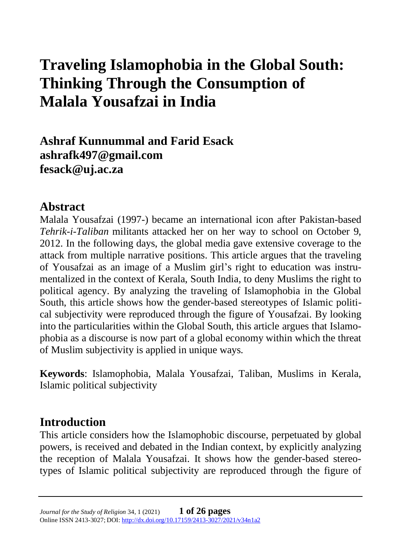# **Traveling Islamophobia in the Global South: Thinking Through the Consumption of Malala Yousafzai in India**

**Ashraf Kunnummal and Farid Esack ashrafk497@gmail.com fesack@uj.ac.za**

### **Abstract**

Malala Yousafzai (1997-) became an international icon after Pakistan-based *Tehrik-i-Taliban* militants attacked her on her way to school on October 9, 2012. In the following days, the global media gave extensive coverage to the attack from multiple narrative positions. This article argues that the traveling of Yousafzai as an image of a Muslim girl's right to education was instrumentalized in the context of Kerala, South India, to deny Muslims the right to political agency. By analyzing the traveling of Islamophobia in the Global South, this article shows how the gender-based stereotypes of Islamic political subjectivity were reproduced through the figure of Yousafzai. By looking into the particularities within the Global South, this article argues that Islamophobia as a discourse is now part of a global economy within which the threat of Muslim subjectivity is applied in unique ways.

**Keywords**: Islamophobia, Malala Yousafzai, Taliban, Muslims in Kerala, Islamic political subjectivity

### **Introduction**

This article considers how the Islamophobic discourse, perpetuated by global powers, is received and debated in the Indian context, by explicitly analyzing the reception of Malala Yousafzai. It shows how the gender-based stereotypes of Islamic political subjectivity are reproduced through the figure of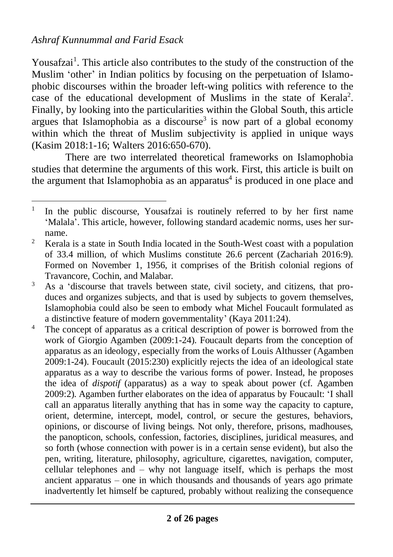#### *Ashraf Kunnummal and Farid Esack*

Yousafzai<sup>1</sup>. This article also contributes to the study of the construction of the Muslim 'other' in Indian politics by focusing on the perpetuation of Islamophobic discourses within the broader left-wing politics with reference to the case of the educational development of Muslims in the state of Kerala<sup>2</sup>. Finally, by looking into the particularities within the Global South, this article argues that Islamophobia as a discourse<sup>3</sup> is now part of a global economy within which the threat of Muslim subjectivity is applied in unique ways (Kasim 2018:1-16; Walters 2016:650-670).

There are two interrelated theoretical frameworks on Islamophobia studies that determine the arguments of this work. First, this article is built on the argument that Islamophobia as an apparatus<sup>4</sup> is produced in one place and

<sup>1</sup> In the public discourse, Yousafzai is routinely referred to by her first name 'Malala'. This article, however, following standard academic norms, uses her surname.

<sup>&</sup>lt;sup>2</sup> Kerala is a state in South India located in the South-West coast with a population of 33.4 million, of which Muslims constitute 26.6 percent (Zachariah 2016:9). Formed on November 1, 1956, it comprises of the British colonial regions of Travancore, Cochin, and Malabar.

<sup>&</sup>lt;sup>3</sup> As a 'discourse that travels between state, civil society, and citizens, that produces and organizes subjects, and that is used by subjects to govern themselves, Islamophobia could also be seen to embody what Michel Foucault formulated as a distinctive feature of modern governmentality' (Kaya 2011:24).

<sup>&</sup>lt;sup>4</sup> The concept of apparatus as a critical description of power is borrowed from the work of Giorgio Agamben (2009:1-24). Foucault departs from the conception of apparatus as an ideology, especially from the works of Louis Althusser (Agamben 2009:1-24). Foucault (2015:230) explicitly rejects the idea of an ideological state apparatus as a way to describe the various forms of power. Instead, he proposes the idea of *dispotif* (apparatus) as a way to speak about power (cf. Agamben 2009:2). Agamben further elaborates on the idea of apparatus by Foucault: 'I shall call an apparatus literally anything that has in some way the capacity to capture, orient, determine, intercept, model, control, or secure the gestures, behaviors, opinions, or discourse of living beings. Not only, therefore, prisons, madhouses, the panopticon, schools, confession, factories, disciplines, juridical measures, and so forth (whose connection with power is in a certain sense evident), but also the pen, writing, literature, philosophy, agriculture, cigarettes, navigation, computer, cellular telephones and – why not language itself, which is perhaps the most ancient apparatus – one in which thousands and thousands of years ago primate inadvertently let himself be captured, probably without realizing the consequence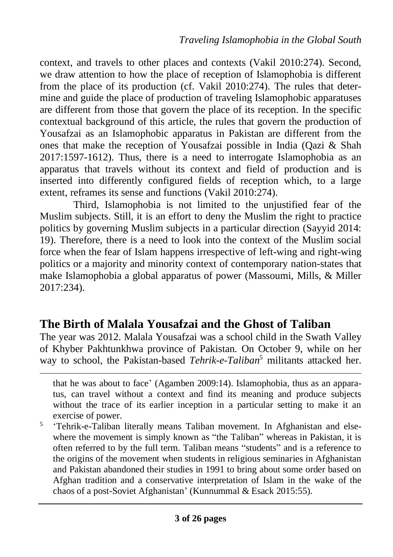context, and travels to other places and contexts (Vakil 2010:274). Second, we draw attention to how the place of reception of Islamophobia is different from the place of its production (cf. Vakil 2010:274). The rules that determine and guide the place of production of traveling Islamophobic apparatuses are different from those that govern the place of its reception. In the specific contextual background of this article, the rules that govern the production of Yousafzai as an Islamophobic apparatus in Pakistan are different from the ones that make the reception of Yousafzai possible in India (Qazi & Shah 2017:1597-1612). Thus, there is a need to interrogate Islamophobia as an apparatus that travels without its context and field of production and is inserted into differently configured fields of reception which, to a large extent, reframes its sense and functions (Vakil 2010:274).

Third, Islamophobia is not limited to the unjustified fear of the Muslim subjects. Still, it is an effort to deny the Muslim the right to practice politics by governing Muslim subjects in a particular direction (Sayyid 2014: 19). Therefore, there is a need to look into the context of the Muslim social force when the fear of Islam happens irrespective of left-wing and right-wing politics or a majority and minority context of contemporary nation-states that make Islamophobia a global apparatus of power (Massoumi, Mills, & Miller 2017:234).

### **The Birth of Malala Yousafzai and the Ghost of Taliban**

The year was 2012. Malala Yousafzai was a school child in the Swath Valley of Khyber Pakhtunkhwa province of Pakistan. On October 9, while on her way to school, the Pakistan-based *Tehrik-e-Taliban*<sup>5</sup> militants attacked her.

that he was about to face' (Agamben 2009:14). Islamophobia, thus as an apparatus, can travel without a context and find its meaning and produce subjects without the trace of its earlier inception in a particular setting to make it an exercise of power.

5 'Tehrik-e-Taliban literally means Taliban movement. In Afghanistan and elsewhere the movement is simply known as "the Taliban" whereas in Pakistan, it is often referred to by the full term. Taliban means "students" and is a reference to the origins of the movement when students in religious seminaries in Afghanistan and Pakistan abandoned their studies in 1991 to bring about some order based on Afghan tradition and a conservative interpretation of Islam in the wake of the chaos of a post-Soviet Afghanistan' (Kunnummal & Esack 2015:55).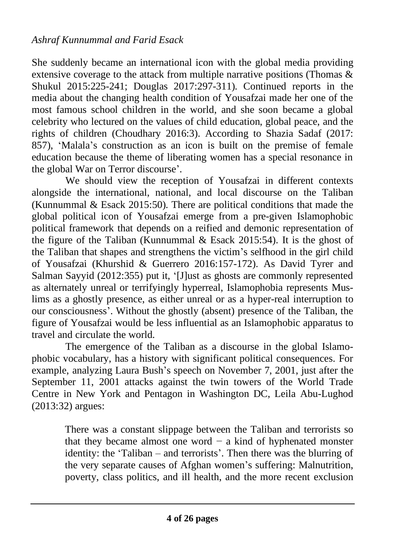She suddenly became an international icon with the global media providing extensive coverage to the attack from multiple narrative positions (Thomas & Shukul 2015:225-241; Douglas 2017:297-311). Continued reports in the media about the changing health condition of Yousafzai made her one of the most famous school children in the world, and she soon became a global celebrity who lectured on the values of child education, global peace, and the rights of children (Choudhary 2016:3). According to Shazia Sadaf (2017: 857), 'Malala's construction as an icon is built on the premise of female education because the theme of liberating women has a special resonance in the global War on Terror discourse'.

We should view the reception of Yousafzai in different contexts alongside the international, national, and local discourse on the Taliban (Kunnummal & Esack 2015:50). There are political conditions that made the global political icon of Yousafzai emerge from a pre-given Islamophobic political framework that depends on a reified and demonic representation of the figure of the Taliban (Kunnummal  $\&$  Esack 2015:54). It is the ghost of the Taliban that shapes and strengthens the victim's selfhood in the girl child of Yousafzai (Khurshid & Guerrero 2016:157-172). As David Tyrer and Salman Sayyid (2012:355) put it, '[J]ust as ghosts are commonly represented as alternately unreal or terrifyingly hyperreal, Islamophobia represents Muslims as a ghostly presence, as either unreal or as a hyper-real interruption to our consciousness'. Without the ghostly (absent) presence of the Taliban, the figure of Yousafzai would be less influential as an Islamophobic apparatus to travel and circulate the world.

The emergence of the Taliban as a discourse in the global Islamophobic vocabulary, has a history with significant political consequences. For example, analyzing Laura Bush's speech on November 7, 2001, just after the September 11, 2001 attacks against the twin towers of the World Trade Centre in New York and Pentagon in Washington DC, Leila Abu-Lughod (2013:32) argues:

> There was a constant slippage between the Taliban and terrorists so that they became almost one word  $-$  a kind of hyphenated monster identity: the 'Taliban – and terrorists'. Then there was the blurring of the very separate causes of Afghan women's suffering: Malnutrition, poverty, class politics, and ill health, and the more recent exclusion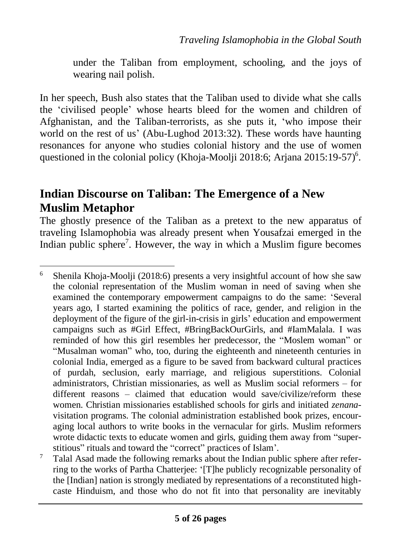under the Taliban from employment, schooling, and the joys of wearing nail polish.

In her speech, Bush also states that the Taliban used to divide what she calls the 'civilised people' whose hearts bleed for the women and children of Afghanistan, and the Taliban-terrorists, as she puts it, 'who impose their world on the rest of us' (Abu-Lughod 2013:32). These words have haunting resonances for anyone who studies colonial history and the use of women questioned in the colonial policy (Khoja-Moolji 2018:6; Arjana 2015:19-57)<sup>6</sup>.

### **Indian Discourse on Taliban: The Emergence of a New Muslim Metaphor**

The ghostly presence of the Taliban as a pretext to the new apparatus of traveling Islamophobia was already present when Yousafzai emerged in the Indian public sphere<sup>7</sup>. However, the way in which a Muslim figure becomes

<sup>6</sup> Shenila Khoja-Moolji (2018:6) presents a very insightful account of how she saw the colonial representation of the Muslim woman in need of saving when she examined the contemporary empowerment campaigns to do the same: 'Several years ago, I started examining the politics of race, gender, and religion in the deployment of the figure of the girl-in-crisis in girls' education and empowerment campaigns such as #Girl Effect, #BringBackOurGirls, and #IamMalala. I was reminded of how this girl resembles her predecessor, the "Moslem woman" or "Musalman woman" who, too, during the eighteenth and nineteenth centuries in colonial India, emerged as a figure to be saved from backward cultural practices of purdah, seclusion, early marriage, and religious superstitions. Colonial administrators, Christian missionaries, as well as Muslim social reformers – for different reasons – claimed that education would save/civilize/reform these women. Christian missionaries established schools for girls and initiated *zenana*visitation programs. The colonial administration established book prizes, encouraging local authors to write books in the vernacular for girls. Muslim reformers wrote didactic texts to educate women and girls, guiding them away from "superstitious" rituals and toward the "correct" practices of Islam'.

<sup>&</sup>lt;sup>7</sup> Talal Asad made the following remarks about the Indian public sphere after referring to the works of Partha Chatterjee: '[T]he publicly recognizable personality of the [Indian] nation is strongly mediated by representations of a reconstituted highcaste Hinduism, and those who do not fit into that personality are inevitably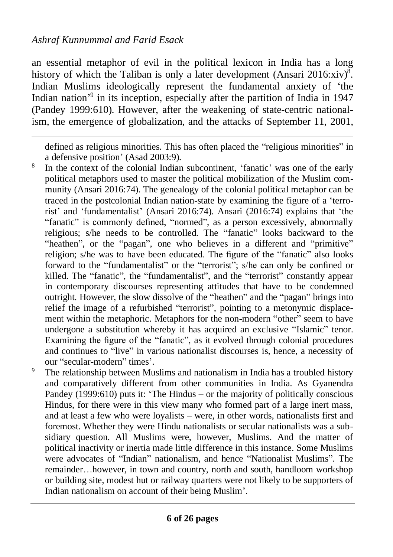#### *Ashraf Kunnummal and Farid Esack*

an essential metaphor of evil in the political lexicon in India has a long history of which the Taliban is only a later development (Ansari 2016:xiv)<sup>8</sup>. Indian Muslims ideologically represent the fundamental anxiety of 'the Indian nation<sup>39</sup> in its inception, especially after the partition of India in 1947 (Pandey 1999:610). However, after the weakening of state-centric nationalism, the emergence of globalization, and the attacks of September 11, 2001,

defined as religious minorities. This has often placed the "religious minorities" in a defensive position' (Asad 2003:9).

- 8 In the context of the colonial Indian subcontinent, 'fanatic' was one of the early political metaphors used to master the political mobilization of the Muslim community (Ansari 2016:74). The genealogy of the colonial political metaphor can be traced in the postcolonial Indian nation-state by examining the figure of a 'terrorist' and 'fundamentalist' (Ansari 2016:74). Ansari (2016:74) explains that 'the "fanatic" is commonly defined, "normed", as a person excessively, abnormally religious; s/he needs to be controlled. The "fanatic" looks backward to the "heathen", or the "pagan", one who believes in a different and "primitive" religion; s/he was to have been educated. The figure of the "fanatic" also looks forward to the "fundamentalist" or the "terrorist"; s/he can only be confined or killed. The "fanatic", the "fundamentalist", and the "terrorist" constantly appear in contemporary discourses representing attitudes that have to be condemned outright. However, the slow dissolve of the "heathen" and the "pagan" brings into relief the image of a refurbished "terrorist", pointing to a metonymic displacement within the metaphoric. Metaphors for the non-modern "other" seem to have undergone a substitution whereby it has acquired an exclusive "Islamic" tenor. Examining the figure of the "fanatic", as it evolved through colonial procedures and continues to "live" in various nationalist discourses is, hence, a necessity of our "secular-modern" times'.
- <sup>9</sup> The relationship between Muslims and nationalism in India has a troubled history and comparatively different from other communities in India. As Gyanendra Pandey (1999:610) puts it: 'The Hindus – or the majority of politically conscious Hindus, for there were in this view many who formed part of a large inert mass, and at least a few who were loyalists – were, in other words, nationalists first and foremost. Whether they were Hindu nationalists or secular nationalists was a subsidiary question. All Muslims were, however, Muslims. And the matter of political inactivity or inertia made little difference in this instance. Some Muslims were advocates of "Indian" nationalism, and hence "Nationalist Muslims". The remainder…however, in town and country, north and south, handloom workshop or building site, modest hut or railway quarters were not likely to be supporters of Indian nationalism on account of their being Muslim'.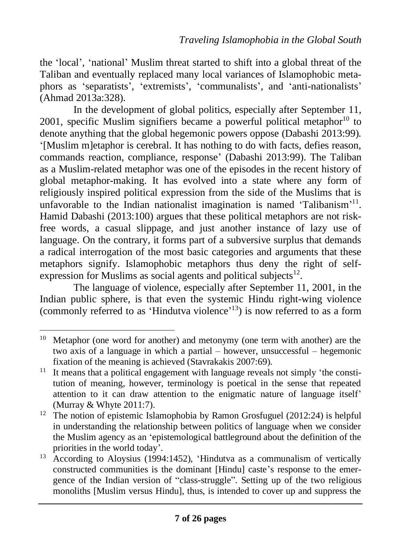the 'local', 'national' Muslim threat started to shift into a global threat of the Taliban and eventually replaced many local variances of Islamophobic metaphors as 'separatists', 'extremists', 'communalists', and 'anti-nationalists' (Ahmad 2013a:328).

In the development of global politics, especially after September 11,  $2001$ , specific Muslim signifiers became a powerful political metaphor<sup>10</sup> to denote anything that the global hegemonic powers oppose (Dabashi 2013:99). '[Muslim m]etaphor is cerebral. It has nothing to do with facts, defies reason, commands reaction, compliance, response' (Dabashi 2013:99). The Taliban as a Muslim-related metaphor was one of the episodes in the recent history of global metaphor-making. It has evolved into a state where any form of religiously inspired political expression from the side of the Muslims that is unfavorable to the Indian nationalist imagination is named 'Talibanism'<sup>11</sup>. Hamid Dabashi (2013:100) argues that these political metaphors are not riskfree words, a casual slippage, and just another instance of lazy use of language. On the contrary, it forms part of a subversive surplus that demands a radical interrogation of the most basic categories and arguments that these metaphors signify. Islamophobic metaphors thus deny the right of selfexpression for Muslims as social agents and political subjects $12$ .

The language of violence, especially after September 11, 2001, in the Indian public sphere, is that even the systemic Hindu right-wing violence (commonly referred to as 'Hindutva violence' <sup>13</sup>) is now referred to as a form

<sup>&</sup>lt;sup>10</sup> Metaphor (one word for another) and metonymy (one term with another) are the two axis of a language in which a partial – however, unsuccessful – hegemonic fixation of the meaning is achieved (Stavrakakis 2007:69).

 $11$  It means that a political engagement with language reveals not simply 'the constitution of meaning, however, terminology is poetical in the sense that repeated attention to it can draw attention to the enigmatic nature of language itself' (Murray & Whyte 2011:7).

<sup>&</sup>lt;sup>12</sup> The notion of epistemic Islamophobia by Ramon Grosfuguel (2012:24) is helpful in understanding the relationship between politics of language when we consider the Muslim agency as an 'epistemological battleground about the definition of the priorities in the world today'.

<sup>&</sup>lt;sup>13</sup> According to Aloysius (1994:1452), 'Hindutva as a communalism of vertically constructed communities is the dominant [Hindu] caste's response to the emergence of the Indian version of "class-struggle". Setting up of the two religious monoliths [Muslim versus Hindu], thus, is intended to cover up and suppress the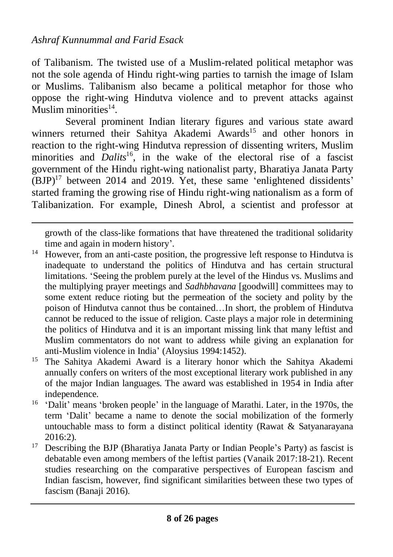of Talibanism. The twisted use of a Muslim-related political metaphor was not the sole agenda of Hindu right-wing parties to tarnish the image of Islam or Muslims. Talibanism also became a political metaphor for those who oppose the right-wing Hindutva violence and to prevent attacks against Muslim minorities<sup>14</sup>.

Several prominent Indian literary figures and various state award winners returned their Sahitya Akademi Awards<sup>15</sup> and other honors in reaction to the right-wing Hindutva repression of dissenting writers, Muslim minorities and *Dalits*<sup>16</sup>, in the wake of the electoral rise of a fascist government of the Hindu right-wing nationalist party, Bharatiya Janata Party (BJP)<sup>17</sup> between 2014 and 2019. Yet, these same 'enlightened dissidents' started framing the growing rise of Hindu right-wing nationalism as a form of Talibanization. For example, Dinesh Abrol, a scientist and professor at

growth of the class-like formations that have threatened the traditional solidarity time and again in modern history'.

- $14$  However, from an anti-caste position, the progressive left response to Hindutva is inadequate to understand the politics of Hindutva and has certain structural limitations. 'Seeing the problem purely at the level of the Hindus vs. Muslims and the multiplying prayer meetings and *Sadhbhavana* [goodwill] committees may to some extent reduce rioting but the permeation of the society and polity by the poison of Hindutva cannot thus be contained…In short, the problem of Hindutva cannot be reduced to the issue of religion. Caste plays a major role in determining the politics of Hindutva and it is an important missing link that many leftist and Muslim commentators do not want to address while giving an explanation for anti-Muslim violence in India' (Aloysius 1994:1452).
- <sup>15</sup> The Sahitya Akademi Award is a literary honor which the Sahitya Akademi annually confers on writers of the most exceptional literary work published in any of the major Indian languages. The award was established in 1954 in India after independence.
- <sup>16</sup> 'Dalit' means 'broken people' in the language of Marathi. Later, in the 1970s, the term 'Dalit' became a name to denote the social mobilization of the formerly untouchable mass to form a distinct political identity (Rawat & Satyanarayana 2016:2).
- <sup>17</sup> Describing the BJP (Bharatiya Janata Party or Indian People's Party) as fascist is debatable even among members of the leftist parties (Vanaik 2017:18-21). Recent studies researching on the comparative perspectives of European fascism and Indian fascism, however, find significant similarities between these two types of fascism (Banaji 2016).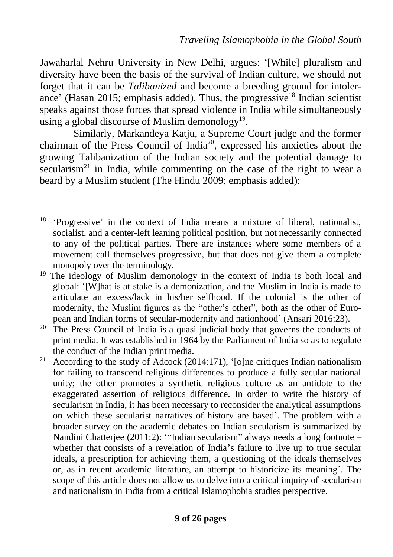Jawaharlal Nehru University in New Delhi, argues: '[While] pluralism and diversity have been the basis of the survival of Indian culture, we should not forget that it can be *Talibanized* and become a breeding ground for intolerance' (Hasan 2015; emphasis added). Thus, the progressive<sup>18</sup> Indian scientist speaks against those forces that spread violence in India while simultaneously using a global discourse of Muslim demonology<sup>19</sup>.

Similarly, Markandeya Katju, a Supreme Court judge and the former chairman of the Press Council of India<sup>20</sup>, expressed his anxieties about the growing Talibanization of the Indian society and the potential damage to  $secularism<sup>21</sup>$  in India, while commenting on the case of the right to wear a beard by a Muslim student (The Hindu 2009; emphasis added):

<sup>&</sup>lt;sup>18</sup> 'Progressive' in the context of India means a mixture of liberal, nationalist, socialist, and a center-left leaning political position, but not necessarily connected to any of the political parties. There are instances where some members of a movement call themselves progressive, but that does not give them a complete monopoly over the terminology.

<sup>&</sup>lt;sup>19</sup> The ideology of Muslim demonology in the context of India is both local and global: '[W]hat is at stake is a demonization, and the Muslim in India is made to articulate an excess/lack in his/her selfhood. If the colonial is the other of modernity, the Muslim figures as the "other's other", both as the other of European and Indian forms of secular-modernity and nationhood' (Ansari 2016:23).

<sup>&</sup>lt;sup>20</sup> The Press Council of India is a quasi-judicial body that governs the conducts of print media. It was established in 1964 by the Parliament of India so as to regulate the conduct of the Indian print media.

<sup>&</sup>lt;sup>21</sup> According to the study of Adcock (2014:171), '[o]ne critiques Indian nationalism for failing to transcend religious differences to produce a fully secular national unity; the other promotes a synthetic religious culture as an antidote to the exaggerated assertion of religious difference. In order to write the history of secularism in India, it has been necessary to reconsider the analytical assumptions on which these secularist narratives of history are based'. The problem with a broader survey on the academic debates on Indian secularism is summarized by Nandini Chatterjee (2011:2): '"Indian secularism" always needs a long footnote – whether that consists of a revelation of India's failure to live up to true secular ideals, a prescription for achieving them, a questioning of the ideals themselves or, as in recent academic literature, an attempt to historicize its meaning'. The scope of this article does not allow us to delve into a critical inquiry of secularism and nationalism in India from a critical Islamophobia studies perspective.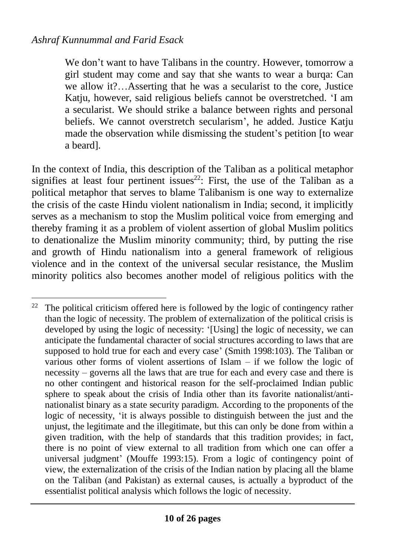#### *Ashraf Kunnummal and Farid Esack*

We don't want to have Talibans in the country. However, tomorrow a girl student may come and say that she wants to wear a burqa: Can we allow it?…Asserting that he was a secularist to the core, Justice Katju, however, said religious beliefs cannot be overstretched. 'I am a secularist. We should strike a balance between rights and personal beliefs. We cannot overstretch secularism', he added. Justice Katiu made the observation while dismissing the student's petition [to wear a beard].

In the context of India, this description of the Taliban as a political metaphor signifies at least four pertinent issues<sup>22</sup>: First, the use of the Taliban as a political metaphor that serves to blame Talibanism is one way to externalize the crisis of the caste Hindu violent nationalism in India; second, it implicitly serves as a mechanism to stop the Muslim political voice from emerging and thereby framing it as a problem of violent assertion of global Muslim politics to denationalize the Muslim minority community; third, by putting the rise and growth of Hindu nationalism into a general framework of religious violence and in the context of the universal secular resistance, the Muslim minority politics also becomes another model of religious politics with the

<sup>&</sup>lt;sup>22</sup> The political criticism offered here is followed by the logic of contingency rather than the logic of necessity. The problem of externalization of the political crisis is developed by using the logic of necessity: '[Using] the logic of necessity, we can anticipate the fundamental character of social structures according to laws that are supposed to hold true for each and every case' (Smith 1998:103). The Taliban or various other forms of violent assertions of Islam – if we follow the logic of necessity – governs all the laws that are true for each and every case and there is no other contingent and historical reason for the self-proclaimed Indian public sphere to speak about the crisis of India other than its favorite nationalist/antinationalist binary as a state security paradigm. According to the proponents of the logic of necessity, 'it is always possible to distinguish between the just and the unjust, the legitimate and the illegitimate, but this can only be done from within a given tradition, with the help of standards that this tradition provides; in fact, there is no point of view external to all tradition from which one can offer a universal judgment' (Mouffe 1993:15). From a logic of contingency point of view, the externalization of the crisis of the Indian nation by placing all the blame on the Taliban (and Pakistan) as external causes, is actually a byproduct of the essentialist political analysis which follows the logic of necessity.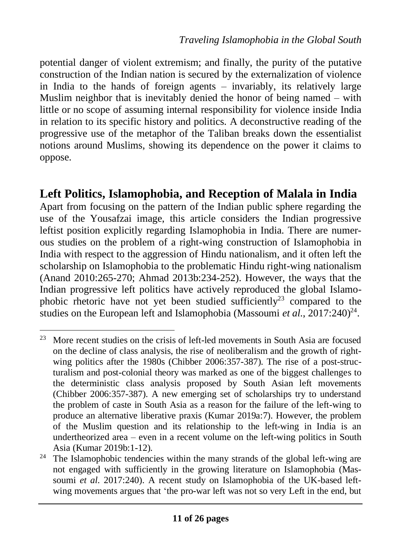potential danger of violent extremism; and finally, the purity of the putative construction of the Indian nation is secured by the externalization of violence in India to the hands of foreign agents – invariably, its relatively large Muslim neighbor that is inevitably denied the honor of being named – with little or no scope of assuming internal responsibility for violence inside India in relation to its specific history and politics. A deconstructive reading of the progressive use of the metaphor of the Taliban breaks down the essentialist notions around Muslims, showing its dependence on the power it claims to oppose.

### **Left Politics, Islamophobia, and Reception of Malala in India**

Apart from focusing on the pattern of the Indian public sphere regarding the use of the Yousafzai image, this article considers the Indian progressive leftist position explicitly regarding Islamophobia in India. There are numerous studies on the problem of a right-wing construction of Islamophobia in India with respect to the aggression of Hindu nationalism, and it often left the scholarship on Islamophobia to the problematic Hindu right-wing nationalism (Anand 2010:265-270; Ahmad 2013b:234-252). However, the ways that the Indian progressive left politics have actively reproduced the global Islamophobic rhetoric have not yet been studied sufficiently<sup>23</sup> compared to the studies on the European left and Islamophobia (Massoumi *et al.*, 2017:240)<sup>24</sup>.

<sup>&</sup>lt;sup>23</sup> More recent studies on the crisis of left-led movements in South Asia are focused on the decline of class analysis, the rise of neoliberalism and the growth of rightwing politics after the 1980s (Chibber 2006:357-387). The rise of a post-structuralism and post-colonial theory was marked as one of the biggest challenges to the deterministic class analysis proposed by South Asian left movements (Chibber 2006:357-387). A new emerging set of scholarships try to understand the problem of caste in South Asia as a reason for the failure of the left-wing to produce an alternative liberative praxis (Kumar 2019a:7). However, the problem of the Muslim question and its relationship to the left-wing in India is an undertheorized area – even in a recent volume on the left-wing politics in South Asia (Kumar 2019b:1-12).

 $24$  The Islamophobic tendencies within the many strands of the global left-wing are not engaged with sufficiently in the growing literature on Islamophobia (Massoumi *et al*. 2017:240). A recent study on Islamophobia of the UK-based leftwing movements argues that 'the pro-war left was not so very Left in the end, but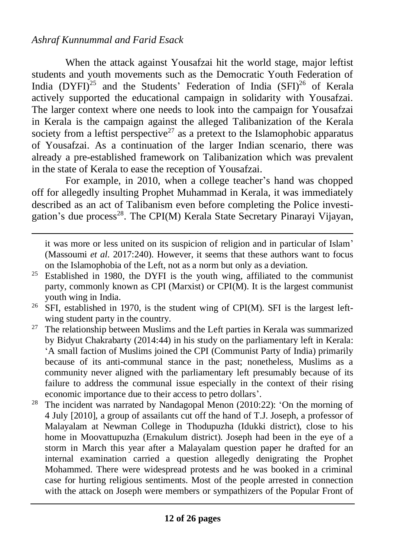#### *Ashraf Kunnummal and Farid Esack*

When the attack against Yousafzai hit the world stage, major leftist students and youth movements such as the Democratic Youth Federation of India  $(DYFI)^{25}$  and the Students' Federation of India  $(SFI)^{26}$  of Kerala actively supported the educational campaign in solidarity with Yousafzai. The larger context where one needs to look into the campaign for Yousafzai in Kerala is the campaign against the alleged Talibanization of the Kerala society from a leftist perspective<sup>27</sup> as a pretext to the Islamophobic apparatus of Yousafzai. As a continuation of the larger Indian scenario, there was already a pre-established framework on Talibanization which was prevalent in the state of Kerala to ease the reception of Yousafzai.

For example, in 2010, when a college teacher's hand was chopped off for allegedly insulting Prophet Muhammad in Kerala, it was immediately described as an act of Talibanism even before completing the Police investigation's due process<sup>28</sup>. The CPI(M) Kerala State Secretary Pinarayi Vijayan,

it was more or less united on its suspicion of religion and in particular of Islam' (Massoumi *et al*. 2017:240). However, it seems that these authors want to focus on the Islamophobia of the Left, not as a norm but only as a deviation.

- <sup>25</sup> Established in 1980, the DYFI is the youth wing, affiliated to the communist party, commonly known as CPI (Marxist) or CPI(M). It is the largest communist youth wing in India.
- <sup>26</sup> SFI, established in 1970, is the student wing of CPI(M). SFI is the largest leftwing student party in the country.
- <sup>27</sup> The relationship between Muslims and the Left parties in Kerala was summarized by Bidyut Chakrabarty (2014:44) in his study on the parliamentary left in Kerala: 'A small faction of Muslims joined the CPI (Communist Party of India) primarily because of its anti-communal stance in the past; nonetheless, Muslims as a community never aligned with the parliamentary left presumably because of its failure to address the communal issue especially in the context of their rising economic importance due to their access to petro dollars'.
- <sup>28</sup> The incident was narrated by Nandagopal Menon (2010:22): 'On the morning of 4 July [2010], a group of assailants cut off the hand of T.J. Joseph, a professor of Malayalam at Newman College in Thodupuzha (Idukki district), close to his home in Moovattupuzha (Ernakulum district). Joseph had been in the eye of a storm in March this year after a Malayalam question paper he drafted for an internal examination carried a question allegedly denigrating the Prophet Mohammed. There were widespread protests and he was booked in a criminal case for hurting religious sentiments. Most of the people arrested in connection with the attack on Joseph were members or sympathizers of the Popular Front of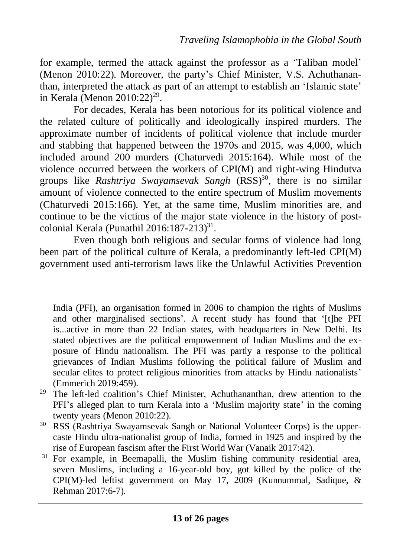for example, termed the attack against the professor as a 'Taliban model' (Menon 2010:22). Moreover, the party's Chief Minister, V.S. Achuthananthan, interpreted the attack as part of an attempt to establish an 'Islamic state' in Kerala (Menon 2010:22) 29 .

For decades, Kerala has been notorious for its political violence and the related culture of politically and ideologically inspired murders. The approximate number of incidents of political violence that include murder and stabbing that happened between the 1970s and 2015, was 4,000, which included around 200 murders (Chaturvedi 2015:164). While most of the violence occurred between the workers of CPI(M) and right-wing Hindutva groups like *Rashtriya Swayamsevak Sangh* (RSS)<sup>30</sup>, there is no similar amount of violence connected to the entire spectrum of Muslim movements (Chaturvedi 2015:166). Yet, at the same time, Muslim minorities are, and continue to be the victims of the major state violence in the history of postcolonial Kerala (Punathil  $2016:187-213$ ) $^{31}$ .

Even though both religious and secular forms of violence had long been part of the political culture of Kerala, a predominantly left-led CPI(M) government used anti-terrorism laws like the Unlawful Activities Prevention

India (PFI), an organisation formed in 2006 to champion the rights of Muslims and other marginalised sections'. A recent study has found that '[t]he PFI is...active in more than 22 Indian states, with headquarters in New Delhi. Its stated objectives are the political empowerment of Indian Muslims and the exposure of Hindu nationalism. The PFI was partly a response to the political grievances of Indian Muslims following the political failure of Muslim and secular elites to protect religious minorities from attacks by Hindu nationalists' (Emmerich 2019:459).

<sup>&</sup>lt;sup>29</sup> The left-led coalition's Chief Minister, Achuthananthan, drew attention to the PFI's alleged plan to turn Kerala into a 'Muslim majority state' in the coming twenty years (Menon 2010:22).

<sup>&</sup>lt;sup>30</sup> RSS (Rashtriya Swayamsevak Sangh or National Volunteer Corps) is the uppercaste Hindu ultra-nationalist group of India, formed in 1925 and inspired by the rise of European fascism after the First World War (Vanaik 2017:42).

<sup>&</sup>lt;sup>31</sup> For example, in Beemapalli, the Muslim fishing community residential area, seven Muslims, including a 16-year-old boy, got killed by the police of the CPI(M)-led leftist government on May 17, 2009 (Kunnummal, Sadique, & Rehman 2017:6-7).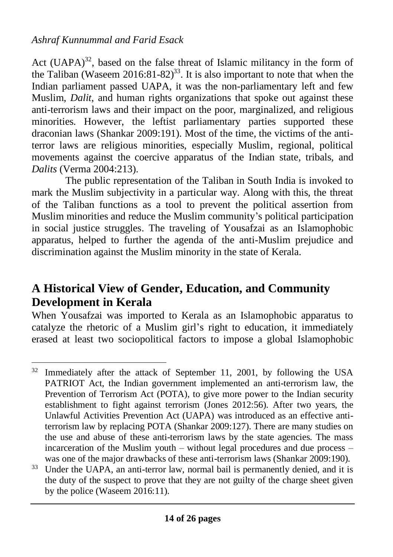Act  $(UAPA)^{32}$ , based on the false threat of Islamic militancy in the form of the Taliban (Waseem  $2016:81-82$ )<sup>33</sup>. It is also important to note that when the Indian parliament passed UAPA, it was the non-parliamentary left and few Muslim, *Dalit*, and human rights organizations that spoke out against these anti-terrorism laws and their impact on the poor, marginalized, and religious minorities. However, the leftist parliamentary parties supported these draconian laws (Shankar 2009:191). Most of the time, the victims of the antiterror laws are religious minorities, especially Muslim, regional, political movements against the coercive apparatus of the Indian state, tribals, and *Dalits* (Verma 2004:213).

The public representation of the Taliban in South India is invoked to mark the Muslim subjectivity in a particular way. Along with this, the threat of the Taliban functions as a tool to prevent the political assertion from Muslim minorities and reduce the Muslim community's political participation in social justice struggles. The traveling of Yousafzai as an Islamophobic apparatus, helped to further the agenda of the anti-Muslim prejudice and discrimination against the Muslim minority in the state of Kerala.

### **A Historical View of Gender, Education, and Community Development in Kerala**

When Yousafzai was imported to Kerala as an Islamophobic apparatus to catalyze the rhetoric of a Muslim girl's right to education, it immediately erased at least two sociopolitical factors to impose a global Islamophobic

<sup>&</sup>lt;sup>32</sup> Immediately after the attack of September 11, 2001, by following the USA PATRIOT Act, the Indian government implemented an anti-terrorism law, the Prevention of Terrorism Act (POTA), to give more power to the Indian security establishment to fight against terrorism (Jones 2012:56). After two years, the Unlawful Activities Prevention Act (UAPA) was introduced as an effective antiterrorism law by replacing POTA (Shankar 2009:127). There are many studies on the use and abuse of these anti-terrorism laws by the state agencies. The mass incarceration of the Muslim youth – without legal procedures and due process – was one of the major drawbacks of these anti-terrorism laws (Shankar 2009:190).

<sup>&</sup>lt;sup>33</sup> Under the UAPA, an anti-terror law, normal bail is permanently denied, and it is the duty of the suspect to prove that they are not guilty of the charge sheet given by the police (Waseem 2016:11).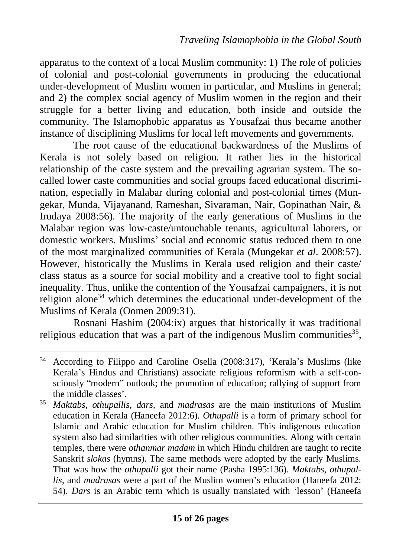apparatus to the context of a local Muslim community: 1) The role of policies of colonial and post-colonial governments in producing the educational under-development of Muslim women in particular, and Muslims in general; and 2) the complex social agency of Muslim women in the region and their struggle for a better living and education, both inside and outside the community. The Islamophobic apparatus as Yousafzai thus became another instance of disciplining Muslims for local left movements and governments.

The root cause of the educational backwardness of the Muslims of Kerala is not solely based on religion. It rather lies in the historical relationship of the caste system and the prevailing agrarian system. The socalled lower caste communities and social groups faced educational discrimination, especially in Malabar during colonial and post-colonial times (Mungekar, Munda, Vijayanand, Rameshan, Sivaraman, Nair, Gopinathan Nair, & Irudaya 2008:56). The majority of the early generations of Muslims in the Malabar region was low-caste/untouchable tenants, agricultural laborers, or domestic workers. Muslims' social and economic status reduced them to one of the most marginalized communities of Kerala (Mungekar *et al*. 2008:57). However, historically the Muslims in Kerala used religion and their caste/ class status as a source for social mobility and a creative tool to fight social inequality. Thus, unlike the contention of the Yousafzai campaigners, it is not religion alone<sup>34</sup> which determines the educational under-development of the Muslims of Kerala (Oomen 2009:31).

Rosnani Hashim (2004:ix) argues that historically it was traditional religious education that was a part of the indigenous Muslim communities $35$ ,

<sup>34</sup> According to Filippo and Caroline Osella (2008:317), 'Kerala's Muslims (like Kerala's Hindus and Christians) associate religious reformism with a self-consciously "modern" outlook; the promotion of education; rallying of support from the middle classes'.

<sup>35</sup> *Maktabs, othupallis, dars,* and *madrasas* are the main institutions of Muslim education in Kerala (Haneefa 2012:6). *Othupalli* is a form of primary school for Islamic and Arabic education for Muslim children. This indigenous education system also had similarities with other religious communities. Along with certain temples, there were *othanmar madam* in which Hindu children are taught to recite Sanskrit *slokas* (hymns). The same methods were adopted by the early Muslims. That was how the *othupalli* got their name (Pasha 1995:136). *Maktabs, othupallis,* and *madrasas* were a part of the Muslim women's education (Haneefa 2012: 54). *Dars* is an Arabic term which is usually translated with 'lesson' (Haneefa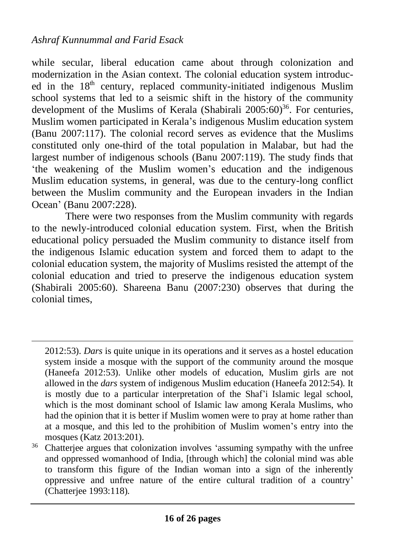while secular, liberal education came about through colonization and modernization in the Asian context. The colonial education system introduced in the  $18<sup>th</sup>$  century, replaced community-initiated indigenous Muslim school systems that led to a seismic shift in the history of the community development of the Muslims of Kerala (Shabirali 2005:60)<sup>36</sup>. For centuries, Muslim women participated in Kerala's indigenous Muslim education system (Banu 2007:117). The colonial record serves as evidence that the Muslims constituted only one-third of the total population in Malabar, but had the largest number of indigenous schools (Banu 2007:119). The study finds that 'the weakening of the Muslim women's education and the indigenous Muslim education systems, in general, was due to the century-long conflict between the Muslim community and the European invaders in the Indian Ocean' (Banu 2007:228).

There were two responses from the Muslim community with regards to the newly-introduced colonial education system. First, when the British educational policy persuaded the Muslim community to distance itself from the indigenous Islamic education system and forced them to adapt to the colonial education system, the majority of Muslims resisted the attempt of the colonial education and tried to preserve the indigenous education system (Shabirali 2005:60). Shareena Banu (2007:230) observes that during the colonial times,

<sup>2012:53).</sup> *Dars* is quite unique in its operations and it serves as a hostel education system inside a mosque with the support of the community around the mosque (Haneefa 2012:53). Unlike other models of education, Muslim girls are not allowed in the *dars* system of indigenous Muslim education (Haneefa 2012:54). It is mostly due to a particular interpretation of the Shaf'i Islamic legal school, which is the most dominant school of Islamic law among Kerala Muslims, who had the opinion that it is better if Muslim women were to pray at home rather than at a mosque, and this led to the prohibition of Muslim women's entry into the mosques (Katz 2013:201).

<sup>&</sup>lt;sup>36</sup> Chatteriee argues that colonization involves 'assuming sympathy with the unfree and oppressed womanhood of India, [through which] the colonial mind was able to transform this figure of the Indian woman into a sign of the inherently oppressive and unfree nature of the entire cultural tradition of a country' (Chatterjee 1993:118).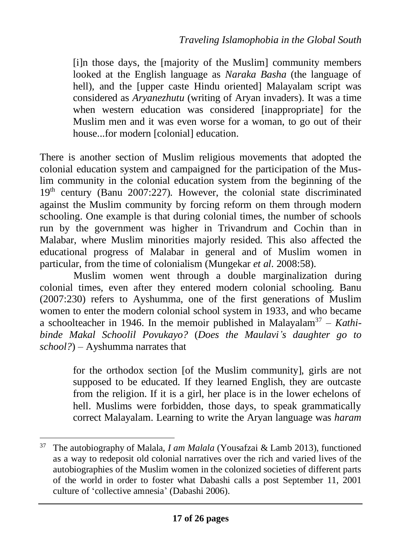[i]n those days, the [majority of the Muslim] community members looked at the English language as *Naraka Basha* (the language of hell), and the *[upper caste Hindu oriented] Malayalam script was* considered as *Aryanezhutu* (writing of Aryan invaders). It was a time when western education was considered [inappropriate] for the Muslim men and it was even worse for a woman, to go out of their house...for modern [colonial] education.

There is another section of Muslim religious movements that adopted the colonial education system and campaigned for the participation of the Muslim community in the colonial education system from the beginning of the  $19<sup>th</sup>$  century (Banu 2007:227). However, the colonial state discriminated against the Muslim community by forcing reform on them through modern schooling. One example is that during colonial times, the number of schools run by the government was higher in Trivandrum and Cochin than in Malabar, where Muslim minorities majorly resided. This also affected the educational progress of Malabar in general and of Muslim women in particular, from the time of colonialism (Mungekar *et al*. 2008:58).

Muslim women went through a double marginalization during colonial times, even after they entered modern colonial schooling. Banu (2007:230) refers to Ayshumma, one of the first generations of Muslim women to enter the modern colonial school system in 1933, and who became a schoolteacher in 1946. In the memoir published in Malayalam<sup>37</sup> – Kathi*binde Makal Schoolil Povukayo?* (*Does the Maulavi's daughter go to school?*) – Ayshumma narrates that

> for the orthodox section [of the Muslim community], girls are not supposed to be educated. If they learned English, they are outcaste from the religion. If it is a girl, her place is in the lower echelons of hell. Muslims were forbidden, those days, to speak grammatically correct Malayalam. Learning to write the Aryan language was *haram*

<sup>37</sup> The autobiography of Malala, *I am Malala* (Yousafzai & Lamb 2013), functioned as a way to redeposit old colonial narratives over the rich and varied lives of the autobiographies of the Muslim women in the colonized societies of different parts of the world in order to foster what Dabashi calls a post September 11, 2001 culture of 'collective amnesia' (Dabashi 2006).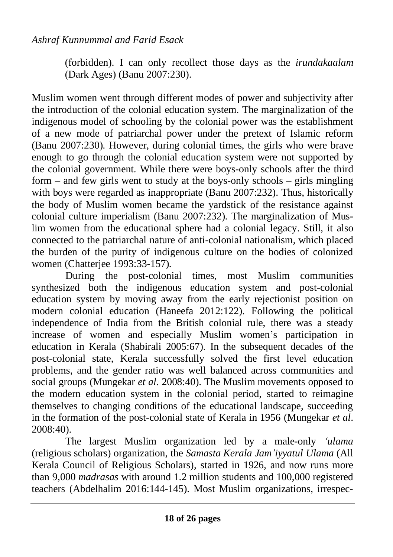(forbidden). I can only recollect those days as the *irundakaalam* (Dark Ages) (Banu 2007:230).

Muslim women went through different modes of power and subjectivity after the introduction of the colonial education system. The marginalization of the indigenous model of schooling by the colonial power was the establishment of a new mode of patriarchal power under the pretext of Islamic reform (Banu 2007:230). However, during colonial times, the girls who were brave enough to go through the colonial education system were not supported by the colonial government. While there were boys-only schools after the third form – and few girls went to study at the boys-only schools – girls mingling with boys were regarded as inappropriate (Banu 2007:232). Thus, historically the body of Muslim women became the yardstick of the resistance against colonial culture imperialism (Banu 2007:232). The marginalization of Muslim women from the educational sphere had a colonial legacy. Still, it also connected to the patriarchal nature of anti-colonial nationalism, which placed the burden of the purity of indigenous culture on the bodies of colonized women (Chatterjee 1993:33-157).

During the post-colonial times, most Muslim communities synthesized both the indigenous education system and post-colonial education system by moving away from the early rejectionist position on modern colonial education (Haneefa 2012:122). Following the political independence of India from the British colonial rule, there was a steady increase of women and especially Muslim women's participation in education in Kerala (Shabirali 2005:67). In the subsequent decades of the post-colonial state, Kerala successfully solved the first level education problems, and the gender ratio was well balanced across communities and social groups (Mungekar *et al*. 2008:40). The Muslim movements opposed to the modern education system in the colonial period, started to reimagine themselves to changing conditions of the educational landscape, succeeding in the formation of the post-colonial state of Kerala in 1956 (Mungekar *et al*. 2008:40).

The largest Muslim organization led by a male-only *'ulama* (religious scholars) organization, the *Samasta Kerala Jam'iyyatul Ulama* (All Kerala Council of Religious Scholars), started in 1926, and now runs more than 9,000 *madrasas* with around 1.2 million students and 100,000 registered teachers (Abdelhalim 2016:144-145). Most Muslim organizations, irrespec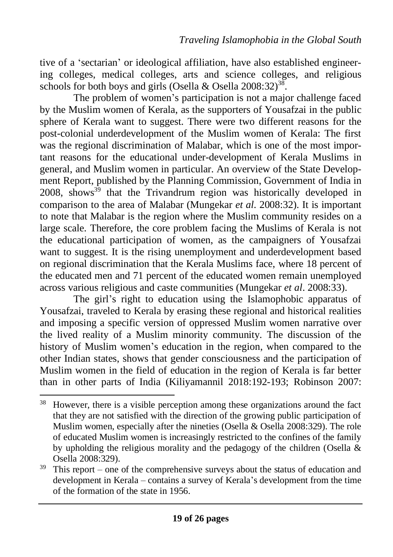tive of a 'sectarian' or ideological affiliation, have also established engineering colleges, medical colleges, arts and science colleges, and religious schools for both boys and girls (Osella & Osella 2008:32)<sup>38</sup>.

The problem of women's participation is not a major challenge faced by the Muslim women of Kerala, as the supporters of Yousafzai in the public sphere of Kerala want to suggest. There were two different reasons for the post-colonial underdevelopment of the Muslim women of Kerala: The first was the regional discrimination of Malabar, which is one of the most important reasons for the educational under-development of Kerala Muslims in general, and Muslim women in particular. An overview of the State Development Report, published by the Planning Commission, Government of India in  $2008$ . shows<sup>39</sup> that the Trivandrum region was historically developed in comparison to the area of Malabar (Mungekar *et al*. 2008:32). It is important to note that Malabar is the region where the Muslim community resides on a large scale. Therefore, the core problem facing the Muslims of Kerala is not the educational participation of women, as the campaigners of Yousafzai want to suggest. It is the rising unemployment and underdevelopment based on regional discrimination that the Kerala Muslims face, where 18 percent of the educated men and 71 percent of the educated women remain unemployed across various religious and caste communities (Mungekar *et al*. 2008:33).

The girl's right to education using the Islamophobic apparatus of Yousafzai, traveled to Kerala by erasing these regional and historical realities and imposing a specific version of oppressed Muslim women narrative over the lived reality of a Muslim minority community. The discussion of the history of Muslim women's education in the region, when compared to the other Indian states, shows that gender consciousness and the participation of Muslim women in the field of education in the region of Kerala is far better than in other parts of India (Kiliyamannil 2018:192-193; Robinson 2007:

<sup>&</sup>lt;sup>38</sup> However, there is a visible perception among these organizations around the fact that they are not satisfied with the direction of the growing public participation of Muslim women, especially after the nineties (Osella & Osella 2008:329). The role of educated Muslim women is increasingly restricted to the confines of the family by upholding the religious morality and the pedagogy of the children (Osella & Osella 2008:329).

 $39$  This report – one of the comprehensive surveys about the status of education and development in Kerala – contains a survey of Kerala's development from the time of the formation of the state in 1956.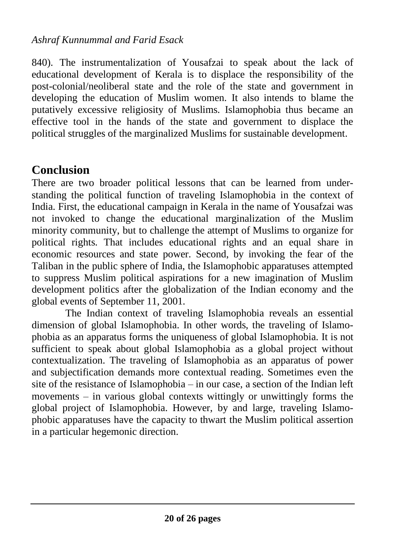840). The instrumentalization of Yousafzai to speak about the lack of educational development of Kerala is to displace the responsibility of the post-colonial/neoliberal state and the role of the state and government in developing the education of Muslim women. It also intends to blame the putatively excessive religiosity of Muslims. Islamophobia thus became an effective tool in the hands of the state and government to displace the political struggles of the marginalized Muslims for sustainable development.

## **Conclusion**

There are two broader political lessons that can be learned from understanding the political function of traveling Islamophobia in the context of India. First, the educational campaign in Kerala in the name of Yousafzai was not invoked to change the educational marginalization of the Muslim minority community, but to challenge the attempt of Muslims to organize for political rights. That includes educational rights and an equal share in economic resources and state power. Second, by invoking the fear of the Taliban in the public sphere of India, the Islamophobic apparatuses attempted to suppress Muslim political aspirations for a new imagination of Muslim development politics after the globalization of the Indian economy and the global events of September 11, 2001.

The Indian context of traveling Islamophobia reveals an essential dimension of global Islamophobia. In other words, the traveling of Islamophobia as an apparatus forms the uniqueness of global Islamophobia. It is not sufficient to speak about global Islamophobia as a global project without contextualization. The traveling of Islamophobia as an apparatus of power and subjectification demands more contextual reading. Sometimes even the site of the resistance of Islamophobia – in our case, a section of the Indian left movements – in various global contexts wittingly or unwittingly forms the global project of Islamophobia. However, by and large, traveling Islamophobic apparatuses have the capacity to thwart the Muslim political assertion in a particular hegemonic direction.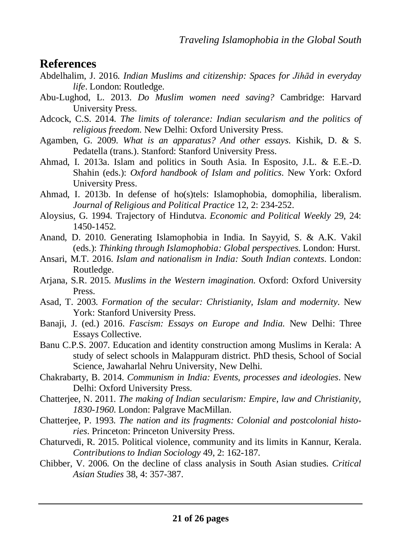#### **References**

- Abdelhalim, J. 2016. *Indian Muslims and citizenship: Spaces for Jihād in everyday life*. London: Routledge.
- Abu-Lughod, L. 2013. *Do Muslim women need saving?* Cambridge: Harvard University Press.
- Adcock, C.S. 2014. *The limits of tolerance: Indian secularism and the politics of religious freedom*. New Delhi: Oxford University Press.
- Agamben, G. 2009. *What is an apparatus? And other essays*. Kishik, D. & S. Pedatella (trans.). Stanford: Stanford University Press.
- Ahmad, I. 2013a. Islam and politics in South Asia. In Esposito, J.L. & E.E.-D. Shahin (eds.): *Oxford handbook of Islam and politics*. New York: Oxford University Press.
- Ahmad, I. 2013b. In defense of ho(s)tels: Islamophobia, domophilia, liberalism. *Journal of Religious and Political Practice* 12, 2: 234-252.
- Aloysius, G. 1994. Trajectory of Hindutva. *Economic and Political Weekly* 29, 24: 1450-1452.
- Anand, D. 2010. Generating Islamophobia in India. In Sayyid, S. & A.K. Vakil (eds.): *Thinking through Islamophobia: Global perspectives*. London: Hurst.
- Ansari, M.T. 2016. *Islam and nationalism in India: South Indian contexts*. London: Routledge.
- Arjana, S.R. 2015. *Muslims in the Western imagination*. Oxford: Oxford University Press.
- Asad, T. 2003. *Formation of the secular: Christianity, Islam and modernity*. New York: Stanford University Press.
- Banaji, J. (ed.) 2016. *Fascism: Essays on Europe and India*. New Delhi: Three Essays Collective.
- Banu C.P.S. 2007. Education and identity construction among Muslims in Kerala: A study of select schools in Malappuram district. PhD thesis, School of Social Science, Jawaharlal Nehru University, New Delhi.
- Chakrabarty, B. 2014. *Communism in India: Events, processes and ideologies*. New Delhi: Oxford University Press.
- Chatterjee, N. 2011. *The making of Indian secularism: Empire, law and Christianity, 1830-1960*. London: Palgrave MacMillan.
- Chatterjee, P. 1993. *The nation and its fragments: Colonial and postcolonial histories*. Princeton: Princeton University Press.
- Chaturvedi, R. 2015. Political violence, community and its limits in Kannur, Kerala. *Contributions to Indian Sociology* 49, 2: 162-187.
- Chibber, V. 2006. On the decline of class analysis in South Asian studies. *Critical Asian Studies* 38, 4: 357-387.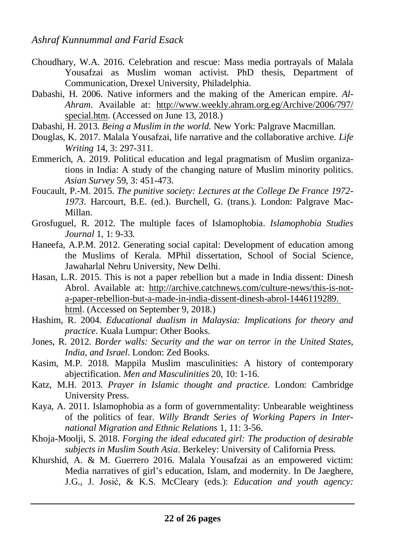- Choudhary, W.A. 2016. Celebration and rescue: Mass media portrayals of Malala Yousafzai as Muslim woman activist. PhD thesis, Department of Communication, Drexel University, Philadelphia.
- Dabashi, H. 2006. Native informers and the making of the American empire. *Al-Ahram*. Available at: http://www.weekly.ahram.org.eg/Archive/2006/797/ special.htm. (Accessed on June 13, 2018.)
- Dabashi, H. 2013. *Being a Muslim in the world*. New York: Palgrave Macmillan.
- Douglas, K. 2017. Malala Yousafzai, life narrative and the collaborative archive. *Life Writing* 14, 3: 297-311.
- Emmerich, A. 2019. Political education and legal pragmatism of Muslim organizations in India: A study of the changing nature of Muslim minority politics. *Asian Survey* 59, 3: 451-473.
- Foucault, P.-M. 2015. *The punitive society: Lectures at the College De France 1972- 1973*. Harcourt, B.E. (ed.). Burchell, G. (trans.). London: Palgrave Mac-Millan.
- Grosfuguel, R. 2012. The multiple faces of Islamophobia. *Islamophobia Studies Journal* 1, 1: 9-33.
- Haneefa, A.P.M. 2012. Generating social capital: Development of education among the Muslims of Kerala. MPhil dissertation, School of Social Science, Jawaharlal Nehru University, New Delhi.
- Hasan, L.R. 2015. This is not a paper rebellion but a made in India dissent: Dinesh Abrol. Available at: http://archive.catchnews.com/culture-news/this-is-nota-paper-rebellion-but-a-made-in-india-dissent-dinesh-abrol-1446119289. html. (Accessed on September 9, 2018.)
- Hashim, R. 2004. *Educational dualism in Malaysia: Implications for theory and practice*. Kuala Lumpur: Other Books.
- Jones, R. 2012. *Border walls: Security and the war on terror in the United States, India, and Israel*. London: Zed Books.
- Kasim, M.P. 2018. Mappila Muslim masculinities: A history of contemporary abjectification. *Men and Masculinities* 20, 10: 1-16.
- Katz, M.H. 2013. *Prayer in Islamic thought and practice*. London: Cambridge University Press.
- Kaya, A. 2011. Islamophobia as a form of governmentality: Unbearable weightiness of the politics of fear. *Willy Brandt Series of Working Papers in International Migration and Ethnic Relations* 1, 11: 3-56.
- Khoja-Moolji, S. 2018. *Forging the ideal educated girl: The production of desirable subjects in Muslim South Asia*. Berkeley: University of California Press.
- Khurshid, A. & M. Guerrero 2016. Malala Yousafzai as an empowered victim: Media narratives of girl's education, Islam, and modernity. In De Jaeghere, J.G., J. Josić, & K.S. McCleary (eds.): *Education and youth agency:*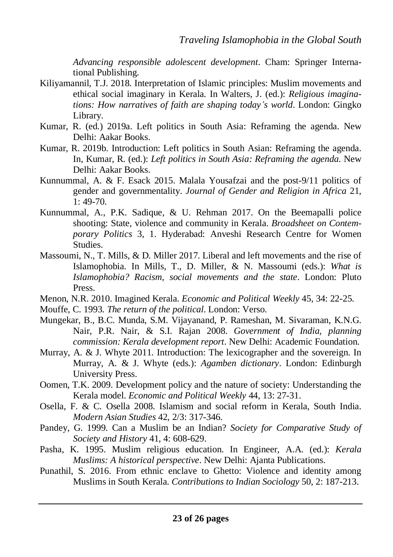*Advancing responsible adolescent development*. Cham: Springer International Publishing.

- Kiliyamannil, T.J. 2018. Interpretation of Islamic principles: Muslim movements and ethical social imaginary in Kerala. In Walters, J. (ed.): *Religious imaginations: How narratives of faith are shaping today's world*. London: Gingko Library.
- Kumar, R. (ed.) 2019a. Left politics in South Asia: Reframing the agenda. New Delhi: Aakar Books.
- Kumar, R. 2019b. Introduction: Left politics in South Asian: Reframing the agenda. In, Kumar, R. (ed.): *Left politics in South Asia: Reframing the agenda*. New Delhi: Aakar Books.
- Kunnummal, A. & F. Esack 2015. Malala Yousafzai and the post-9/11 politics of gender and governmentality. *Journal of Gender and Religion in Africa* 21, 1: 49-70.
- Kunnummal, A., P.K. Sadique, & U. Rehman 2017. On the Beemapalli police shooting: State, violence and community in Kerala. *Broadsheet on Contemporary Politics* 3, 1. Hyderabad: Anveshi Research Centre for Women Studies.
- Massoumi, N., T. Mills, & D. Miller 2017. Liberal and left movements and the rise of Islamophobia. In Mills, T., D. Miller, & N. Massoumi (eds.): *What is Islamophobia? Racism, social movements and the state*. London: Pluto Press.
- Menon, N.R. 2010. Imagined Kerala. *Economic and Political Weekly* 45, 34: 22-25.
- Mouffe, C. 1993. *The return of the political*. London: Verso.
- Mungekar, B., B.C. Munda, S.M. Vijayanand, P. Rameshan, M. Sivaraman, K.N.G. Nair, P.R. Nair, & S.I. Rajan 2008. *Government of India, planning commission: Kerala development report*. New Delhi: Academic Foundation.
- Murray, A. & J. Whyte 2011. Introduction: The lexicographer and the sovereign. In Murray, A. & J. Whyte (eds.): *Agamben dictionary*. London: Edinburgh University Press.
- Oomen, T.K. 2009. Development policy and the nature of society: Understanding the Kerala model. *Economic and Political Weekly* 44, 13: 27-31.
- Osella, F. & C. Osella 2008. Islamism and social reform in Kerala, South India. *Modern Asian Studies* 42, 2/3: 317-346.
- Pandey, G. 1999. Can a Muslim be an Indian? *Society for Comparative Study of Society and History* 41, 4: 608-629.
- Pasha, K. 1995. Muslim religious education. In Engineer, A.A. (ed.): *Kerala Muslims: A historical perspective*. New Delhi: Ajanta Publications.
- Punathil, S. 2016. From ethnic enclave to Ghetto: Violence and identity among Muslims in South Kerala. *Contributions to Indian Sociology* 50, 2: 187-213.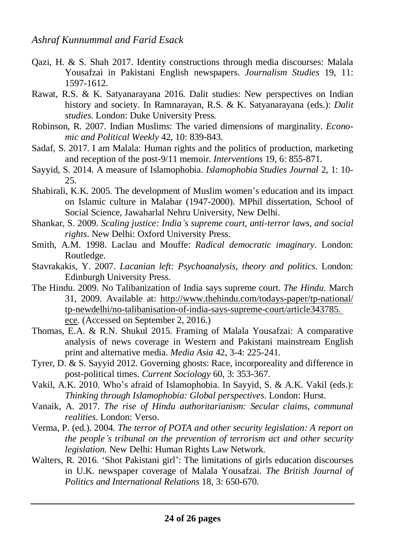- Qazi, H. & S. Shah 2017. Identity constructions through media discourses: Malala Yousafzai in Pakistani English newspapers. *Journalism Studies* 19, 11: 1597-1612.
- Rawat, R.S. & K. Satyanarayana 2016. Dalit studies: New perspectives on Indian history and society. In Ramnarayan, R.S. & K. Satyanarayana (eds.): *Dalit studies*. London: Duke University Press.
- Robinson, R. 2007. Indian Muslims: The varied dimensions of marginality. *Economic and Political Weekly* 42, 10: 839-843.
- Sadaf, S. 2017. I am Malala: Human rights and the politics of production, marketing and reception of the post-9/11 memoir. *Interventions* 19, 6: 855-871.
- Sayyid, S. 2014. A measure of Islamophobia. *Islamophobia Studies Journal* 2, 1: 10- 25.
- Shabirali, K.K. 2005. The development of Muslim women's education and its impact on Islamic culture in Malabar (1947-2000). MPhil dissertation, School of Social Science, Jawaharlal Nehru University, New Delhi.
- Shankar, S. 2009. *Scaling justice: India's supreme court, anti-terror laws, and social rights*. New Delhi: Oxford University Press.
- Smith, A.M. 1998. Laclau and Mouffe: *Radical democratic imaginary*. London: Routledge.
- Stavrakakis, Y. 2007. *Lacanian left: Psychoanalysis, theory and politics*. London: Edinburgh University Press.
- The Hindu. 2009. No Talibanization of India says supreme court. *The Hindu*. March 31, 2009. Available at: http://www.thehindu.com/todays-paper/tp-national/ tp-newdelhi/no-talibanisation-of-india-says-supreme-court/article343785. ece. (Accessed on September 2, 2016.)
- Thomas, E.A. & R.N. Shukul 2015. Framing of Malala Yousafzai: A comparative analysis of news coverage in Western and Pakistani mainstream English print and alternative media. *Media Asia* 42, 3-4: 225-241.
- Tyrer, D. & S. Sayyid 2012. Governing ghosts: Race, incorporeality and difference in post-political times. *Current Sociology* 60, 3: 353-367.
- Vakil, A.K. 2010. Who's afraid of Islamophobia. In Sayyid, S. & A.K. Vakil (eds.): *Thinking through Islamophobia: Global perspectives*. London: Hurst.
- Vanaik, A. 2017. *The rise of Hindu authoritarianism: Secular claims, communal realities*. London: Verso.
- Verma, P. (ed.). 2004. *The terror of POTA and other security legislation: A report on the people's tribunal on the prevention of terrorism act and other security legislation*. New Delhi: Human Rights Law Network.
- Walters, R. 2016. 'Shot Pakistani girl': The limitations of girls education discourses in U.K. newspaper coverage of Malala Yousafzai. *The British Journal of Politics and International Relations* 18, 3: 650-670.